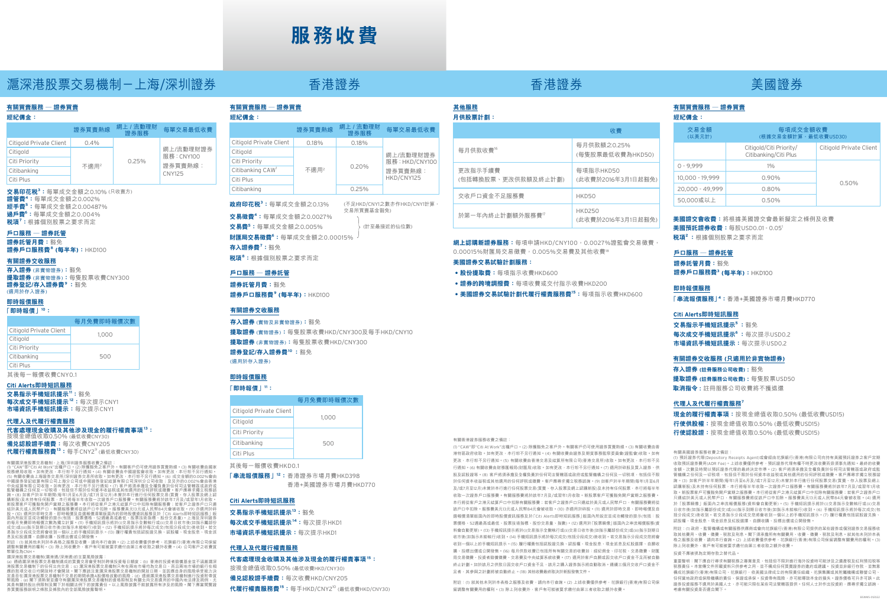# **服務收費**

# 滬深港股票交易機制-上海/深圳證券 香港證券 香港證券 美國證券

## **有關買賣服務 — 證券買賣**

**經紀佣金:**

| <b>WE WE HAVE THE STATE OF</b> |                         |        |                   |                                    |
|--------------------------------|-------------------------|--------|-------------------|------------------------------------|
|                                |                         | 證券買賣熱線 | 網上 / 流動理財<br>證券服務 | 每單交易最低收費                           |
|                                | Citigold Private Client | 0.4%   |                   | 網上/流動理財證券<br>服務: CNY100<br>證券買賣熱線: |
| Citigold                       |                         | 不適用2   |                   |                                    |
| Citi Priority                  |                         |        | 0.25%             |                                    |
| Citibanking                    |                         |        |                   | <b>CNY125</b>                      |
| Citi Plus                      |                         |        |                   |                                    |

 $\mathbf{\dot{\alpha}}$ 易印花税 $^3$ :每單成交金額之0.10% (只收賣方) **證管費<sup>4</sup> :**每單成交金額之0.002% **經手費<sup>5</sup> :**每單成交金額之0.00487% **過戶費<sup>6</sup> :**每單成交金額之0.004% **稅項<sup>7</sup> :**根據個別股票之要求而定

## **戶口服務 — 證券託管**

**證券託管月費:**豁免 **證券戶口服務費<sup>8</sup> (每半年):**HKD100

### **有關證券交收服務**

**存入證券** (非實物證券)**:**豁免 **提取證券** (非實物證券)**:**每隻股票收費CNY300 **證券登記/存入證券費<sup>9</sup>:**豁免 (適用於存入證券)

### **即時報價服務**

### **「即時報價」<sup>10</sup>:**

|                         | 每月免費即時報價次數 |
|-------------------------|------------|
| Citigold Private Client | 1.000      |
| Citigold                |            |
| Citi Priority           |            |
| Citibanking             | 500        |
| Citi Plus               |            |

其後每一報價收費CNY0.1

### **Citi Alerts即時短訊服務**

**交易指示手機短訊提示<sup>11</sup>:**豁免 **每次成交手機短訊提示<sup>12</sup>:**每次提示CNY1 **市場資訊手機短訊提示:**每次提示CNY1

### **代理人及代履行權責服務**

**代客處理現金收購及其他涉及現金的履行權責事項<sup>13</sup>:**

按現金總值收取0.50% (最低收費CNY30) **備兌認股證手續費:**每次收費CNY205 **代履行權責服務費<sup>13</sup>:**每手CNY29 (最低收費CNY30)

有關滬深港股票交易機制,上海/深圳證券服務收費之備註:<br>(1) "CAW"即では、Maxing Film (中心の主義的な要素を持つ。有關客戶仍可使用證券買賣熱線。(3) 有關收費由國家<br>(5) 有關收費中止海證券交易所(深圳證券交易所收取。如有更收食者不行要付到19 的,如有更改,本行業的公司公司通知。<br>(5) 有關收費由上海證券交易所(深圳證券交易所收取。如有更改,本行業不分可選印。(5) 成交金額的0.002%會由香港<br>中國證券登記 新股票客戶可變豁免開戶當期还服務費。本行將從客戶之港元結算戶口中扣除有關服務費;若客戶之證券戶口只連<br>結於美元或人民幣戶口,有關服務費將從該戶口中扣除。服務費美元13元或人民幣84元會被收取。(9) 液造形戶口,而用於即時發易引力。<br>股。(0) 適用於即時交易:即時報價及自選報價清單版面內的即時股價資訊服務及於「Ctil Alerts即時短訊服務」版<br>面內所設定並成功機發的提示で包括,後期價格、52週最高或最低、股票指示全數執行或(II)

息及紅股選擇、自願收購、投標出價或公開發售。<br>附註:(1) 就其他未列於本表格之服務及收費,請向本行查詢。(2) 上述收費僅供參考,花旗銀行(香港)有限公司保留 調整有關費用的權利。(3) 除上列收費外,客戶有可能被要求繳付由第三者收取之額外收費。(4) 公司客戶之收費貨 幣單位為CNH。

### 滬深港股票交易機制(滬港通/深港通)的主要風險披露:

(a) 通過滬深港股票交易機制達成的買賣交易會受制於跨境投資每日額度;(b) 香港的投資者賠償基金並不涵蓋滬深 港股票交易機制下的任何北向交易;(c) 滬深港股票交易機制只有在兩地市場均為交易日,而且兩地市場的銀行在相 應的款項交收日均開放時才會開放。閣下應該注意滬深港股票交易機制的開放日期,並因應自身的風險承受能力決 定是否在滬深港股票交易機制不交易的期間承擔A股價格波動的風險;(d) 透過滬深港股票交易機制進行投資附帶貨 幣風險;(e) 閣下須熟習並遵守有關滬深港股票交易機制的資格限制及有關北向交易適用的中國內地法律及規例,尤 其是有關持股比例限制及閣下於相關法例下的披露責任。以上風險披露不能披露所有涉及的風險。閣下應當閱覽證 券買賣服務說明之條款及條款內的全部風險披露聲明。

### **有關買賣服務 — 證券買賣 經紀佣金:**

| <b>ALL AND MULLER 1</b>      |        |                   |                                        |  |
|------------------------------|--------|-------------------|----------------------------------------|--|
|                              | 證券買賣熱線 | 網上 / 流動理財<br>證券服務 | 每單交易最低收費                               |  |
| Citigold Private Client      | 0.18%  | 0.18%             |                                        |  |
| Citigold                     | 不適用2   | 0.20%             | 網上/流動理財證券<br>服務: HKD/CNY100<br>證券買賣熱線: |  |
| Citi Priority                |        |                   |                                        |  |
| Citibanking CAW <sup>1</sup> |        |                   |                                        |  |
| Citi Plus                    |        |                   | HKD/CNY125                             |  |
| Citibanking                  |        | 0.25%             |                                        |  |

(計至最接近的仙位數) (不足HKD/CNY1之數亦作HKD/CNY1計算, 交易所買賣基金豁免) **政府印花稅<sup>3</sup> :**每單成交金額之0.13% **交易徵費<sup>4</sup> :**每單成交金額之0.0027% **交易費<sup>5</sup> :**每單成交金額之0.005%

**財匯局交易徵費<sup>6</sup> :**每單成交金額之0.00015% **存入證券費<sup>7</sup> :**豁免

**稅項<sup>8</sup> :**根據個別股票之要求而定

### **戶口服務 — 證券託管**

**證券託管月費:**豁免 **證券戶口服務費<sup>9</sup> (每半年):**HKD100

### **有關證券交收服務**

**存入證券** (實物及非實物證券)**:**豁免 **提取證券** (實物證券)**:**每隻股票收費HKD/CNY300及每手HKD/CNY10 **提取證券** (非實物證券)**:**每隻股票收費HKD/CNY300 **證券登記/存入證券費<sup>10</sup>:**豁免 (適用於存入證券)

## **即時報價服務 「即時報價」<sup>11</sup>:**

每月免費即時報價次數

| Citigold Private Client |       |  |
|-------------------------|-------|--|
| Citigold                | 1.000 |  |
| Citi Priority           |       |  |
| Citibanking             | 500   |  |
| Citi Plus               |       |  |

其後每一報價收費HKD0.1

**「串流報價服務」<sup>12</sup>:** 香港證券市場月費HKD398

香港+美國證券市場月費HKD770

## **Citi Alerts即時短訊服務**

**交易指示手機短訊提示<sup>13</sup>:**豁免 **每次成交手機短訊提示<sup>14</sup>:**每次提示HKD1 **市場資訊手機短訊提示:**每次提示HKD1

## **代理人及代履行權責服務**

### **代客處理現金收購及其他涉及現金的履行權責事項<sup>15</sup>:** 按現金總值收取0.50% (最低收費HKD/CNY30)

**備兌認股證手續費:**每次收費HKD/CNY205 **代履行權責服務費<sup>15</sup>:**每手HKD/CNY210 (最低收費HKD/CNY30)

# **月供股票計劃:**

|  |                                | 收書                                  |  |  |  |
|--|--------------------------------|-------------------------------------|--|--|--|
|  | 每月供款收費"                        | 每月供款額之0.25%<br>(每隻股票最低收費為HKD50)     |  |  |  |
|  | 更改指示手續費<br>(包括轉換股票、更改供款額及終止計劃) | 每項指示HKD50<br>(此收費於2016年3月1日起豁免)     |  |  |  |
|  | 交收戶口資金不足服務費                    | HKD50                               |  |  |  |
|  | 於第一年內終止計劃額外服務費"                | <b>HKD250</b><br>(此收費於2016年3月1日起豁免) |  |  |  |

**網上認購新證券服務:**每項申請HKD/CNY100,0.0027%證監會交易徵費 0.00015%財匯局交易徵費,0.005%交易費及其他收費<sup>18</sup>

### **美國證券交易試驗計劃服務:**

有關香港證券服務收費之備註:

**• 股份提取費:**每項指示收費HKD600

- **• 證券的跨境調撥費:**每項收費或交付指示收費HKD200
- **• 美國證券交易試驗計劃代履行權責服務費<sup>15</sup>:**每項指示收費HKD600

(1) "CAW"即"Citi At Work"出糧戶口。(2) 除獲豁免之客戶外。有關客戶仍可使用證券買賣熱線。(3) 有關收費由香 港特區政府收取。如有更改,本行恕不另行通知。(4) 有關收費由證券及期貨事務監察委員會(證監會)收取。如有 更改,本行恕不另行通知。(5) 有關收費由香港交易及結算所有限公司(香港交易所)收取。如有更改,本行恕不另 行通知。(6) 有關收費由財務匯報局(財匯局)收取。如有更改,本行恕不另行通知。(7) 適用於碎股及買入證券、供 股及認股證等。(8) 客戶將須承擔及全權負責於任何司法管轄區或政府或監管機構之任何及一切稅項,包括但不限 於任何資本收益稅或其他適用的任何評稅或徵費。客戶應尋求獨立稅務諮詢。(9) 如客戶於半年期間(每年1月至6月 及/或7月至12月)未曾於本行進行任何股票交易(買賣、存入股票及網上認購新股)及未持有任何股票,本行將每半年 收取一次證券戶口服務費。有關服務費將於該年7月及/或翌年1月收取。新股票客戶可獲豁免開戶當期之服務費。 本行將從客戶之港元結算戶口中扣除有關服務費;若客戶之證券戶口只連結於美元或人民幣戶口,有關服務費將從 該戶口中扣除。服務費美元13元或人民幣84元會被收取。(10) 亦適用於碎股。(11) 適用於即時交易、即時報價及自 選報價清單版面內的即時股價資訊服務及於「Citi Alerts即時短訊服務」版面內所設定並成功觸發的提示(包括:股 票價格、52週最高或最低、股票技術指標、股份交易量、指數)。(12) 適用於「股票瞬像」版面內之串流報價服務(資 料會自動更新)。(13) 手機短訊提示將於(i)交易指示全數執行或(ii)交易日收市後(如指示屬部份成交)或(iii)指示到期日 收市後(如指示未能執行)收到。(14) 手機短訊提示將於每次成交(包括分段成交)後收到。若交易指示分段成交您將會 收到一個以上的手機短訊提示。(15) 履行權責包括認股證兌換、認股權、現金股息、現金派息及紅股選擇、自願收 購、投標出價或公開發售。(16) 每月供款收費已包括所有有關交易的收費如:經紀佣金、印花稅、交易徵費、財匯 局交易徵費、投資者賠償徵費、交易費及中央結算系統收費。(17) 適用於客戶自願或因交收戶口資金不足而被自動 終止計劃。如於該月之供款日因交收戶口資金不足,該月之購入證券指示將自動取消。連續三個月交收戶口資金不

## **有關買賣服務 — 證券買賣**

| 交易金額<br>(以美元計)  | 每項成交金額收費<br>(根據交易金額計算,最低收費USD30)                 |                         |  |
|-----------------|--------------------------------------------------|-------------------------|--|
|                 | Citigold/Citi Priority/<br>Citibanking/Citi Plus | Citigold Private Client |  |
| $0 - 9.999$     | $1\%$                                            |                         |  |
| 10.000 - 19.999 | $0.90\%$                                         | 0.50%                   |  |
| 20.000 - 49.999 | 0.80%                                            |                         |  |
| 50.000或以上       | 0.50%                                            |                         |  |

**美國證交會收費:**將根據美國證交會最新擬定之條例及收費 **美國預託證券收費:**每股USD0.01 - 0.051 **稅項<sup>2</sup>:**根據個別股票之要求而定

## **戶口服務 — 證券託管**

**證券託管月費:**豁免 **證券戶口服務費<sup>3</sup> (每半年):**HKD100

### **即時報價服務**

**「串流報價服務」<sup>4</sup> :**香港+美國證券市場月費HKD770

## **Citi Alerts即時短訊服務**

**交易指示手機短訊提示<sup>5</sup>:**豁免 **每次成交手機短訊提示<sup>6</sup>:**每次提示USD0.2 **市場資訊手機短訊提示:**每次提示USD0.2

### **有關證券交收服務 (只適用於非實物證券)**

**存入證券 (註冊服務公司收費) :** 豁免 **提取證券 (註冊服務公司收費) :** 每隻股票USD50 **取消指令 :** 註冊服務公司收費將不獲退還

### **代理人及代履行權責服務<sup>7</sup>**

**現金的履行權責事項:**按現金總值收取0.50% (最低收費USD15) **行使供股權:**按現金總值收取0.50% (最低收費USD15) **行使認股證:**按現金總值收取0.50% (最低收費USD15)

### 有關美國證券服務收費之備註:

(1) 預託證券代理(Depository Receipts Agent)或會經由花旗銀行(香港)有限公司向持有美國預託證券之客戶定期 收取預託證券費用(ADR Fee)。上述收費僅供參考,預託證券代理有權不時更改收費而毋須事先通知。最終的收費 金額、次數及時間以預託證券代理的最終決定作準。(2) 客戶將須承擔及全權負責於任何司法管轄區或政府或監 管機構之任何及一切稅項,包括但不限於任何資本收益稅或其他適用的任何評稅或徵費。客戶應尋求獨立稅務諮 詢。(3) 如客戶於半年期間(每年1月至6月及/或7月至12月)未曾於本行進行任何股票交易(買賣、存入股票及網上 認購新股)及未持有任何股票,本行將每半年收取一次證券戶口服務費。有關服務費將於該年7月及/或翌年1月收 取。新股票客戶可獲豁免開戶當期之服務費。本行將從客戶之港元結算戶口中扣除有關服務費;若客戶之證券戶口 只連結於美元或人民幣戶口,有關服務費將從該戶口中扣除。服務費美元13元或人民幣84元會被收取。(4) 適用 於「股票瞬像」版面內之串流報價服務(資料會自動更新)。(5) 手機短訊提示將於(i)交易指示全數執行或(ii)交易 日收市後(如指示屬部份成交)或(iii)指示到期日收市後(如指示未能執行)收到。(6) 手機短訊提示將於每次成交(包 括分段成交)後收到。若交易指示分段成交您將會收到一個以上的手機短訊提示。(7) 履行權責包括認股證兌換、 認股權、現金股息、現金派息及紅股選擇、自願收購、投標出價或公開發售。

附註:(1) 政府、監管機構或有關服務供應商或會向花旗銀行(香港)有限公司提供的某些證券或個別證券交易服務收 取其他費用、收費、徵費、稅款及利息。閣下須承擔所有有關費用、收費、徵費、稅款及利息。就其他未列於本表 格之服務及收費,請向本行查詢。(2) 上述收費僅供參考,花旗銀行(香港)有限公司保留調整有關費用的權利。(3) 除上列收費外,客戶有可能被要求繳付由第三者收取之額外收費。

投資不應被視為定期存款之替代品。

重要聲明:閣下應自行尋求有關稅務之專業意見,包括但不限於進行海外投資時可能涉及之遺產稅及紅利預扣稅等 稅務責任。本宣傳文件所載資料只供參考之用,並不構成任何買賣證券的邀約或建議。 投資並非銀行存款,並無意 構成花旗銀行(香港)有限公司、花旗銀行,依美國法律成立的有限責任組織、花旗集團或其附屬機構或聯營公司、 任何當地政府或保險機構的責任、保證或承保。投資帶有風險,亦可能導致本金的損失。證券價格可升亦可跌。此 證券投資服務不適用於美國人士,亦可能只限在某些司法管轄區提供。任何人士於作出投資前,應尋求獨立諮詢, 考慮有關投資是否適合閣下。

# **其他服務**